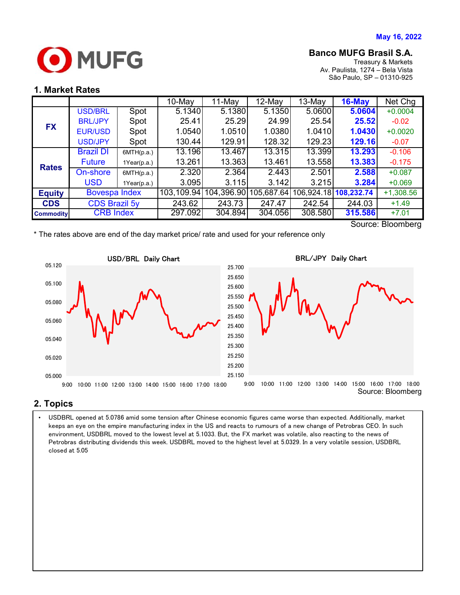

### **Banco MUFG Brasil S.A.**

Treasury & Markets Av. Paulista, 1274 – Bela Vista São Paulo, SP – 01310-925

#### **1. Market Rates**

|                   |                      |             | $10$ -May  | 11-May     | $12$ -May  | 13-May  | $16$ -May             | Net Chg     |
|-------------------|----------------------|-------------|------------|------------|------------|---------|-----------------------|-------------|
| <b>FX</b>         | <b>USD/BRL</b>       | Spot        | 5.1340     | 5.1380     | 5.1350     | 5.0600  | 5.0604                | $+0.0004$   |
|                   | <b>BRL/JPY</b>       | Spot        | 25.41      | 25.29      | 24.99      | 25.54   | 25.52                 | $-0.02$     |
|                   | <b>EUR/USD</b>       | Spot        | 1.0540     | 1.0510     | 1.0380     | 1.0410  | 1.0430                | $+0.0020$   |
|                   | <b>USD/JPY</b>       | Spot        | 130.44     | 129.91     | 128.32     | 129.23  | 129.16                | $-0.07$     |
| <b>Rates</b>      | <b>Brazil DI</b>     | 6MTH(p.a.)  | 13.196     | 13.467     | 13.315     | 13.399  | 13.293                | $-0.106$    |
|                   | <b>Future</b>        | 1Year(p.a.) | 13.261     | 13.363     | 13.461     | 13.558  | 13.383                | $-0.175$    |
|                   | On-shore             | 6MTH(p.a.)  | 2.320      | 2.364      | 2.443      | 2.501   | 2.588                 | $+0.087$    |
|                   | <b>USD</b>           | 1Year(p.a.) | 3.095      | 3.115      | 3.142      | 3.215   | 3.284                 | $+0.069$    |
| <b>Equity</b>     | Bovespa Index        |             | 103,109.94 | 104,396.90 | 105,687.64 |         | 106,924.18 108,232.74 | $+1,308.56$ |
| <b>CDS</b>        | <b>CDS Brazil 5y</b> |             | 243.62     | 243.73     | 247.47     | 242.54  | 244.03                | $+1.49$     |
| <b>Commodity</b>  | <b>CRB Index</b>     |             | 297.092    | 304.894    | 304.056    | 308.580 | 315.586               | $+7.01$     |
| Source: Plaambarg |                      |             |            |            |            |         |                       |             |

Source: Bloomberg





## **2. Topics**

 Petrobras distributing dividends this week. USDBRL moved to the highest level at 5.0329. In a very volatile session, USDBRL • USDBRL opened at 5.0786 amid some tension after Chinese economic figures came worse than expected. Additionally, market keeps an eye on the empire manufacturing index in the US and reacts to rumours of a new change of Petrobras CEO. In such environment, USDBRL moved to the lowest level at 5.1033. But, the FX market was volatile, also reacting to the news of closed at 5.05